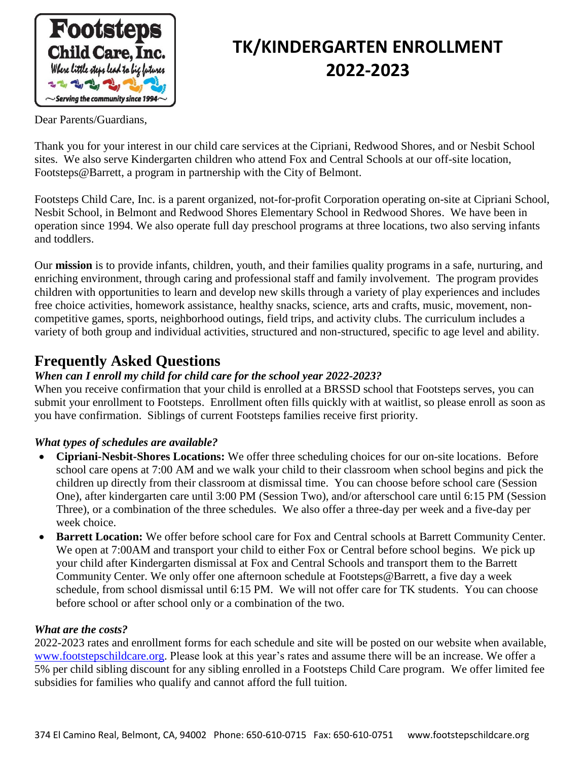

# **TK/KINDERGARTEN ENROLLMENT 2022-2023**

Dear Parents/Guardians,

Thank you for your interest in our child care services at the Cipriani, Redwood Shores, and or Nesbit School sites. We also serve Kindergarten children who attend Fox and Central Schools at our off-site location, Footsteps@Barrett, a program in partnership with the City of Belmont.

Footsteps Child Care, Inc. is a parent organized, not-for-profit Corporation operating on-site at Cipriani School, Nesbit School, in Belmont and Redwood Shores Elementary School in Redwood Shores. We have been in operation since 1994. We also operate full day preschool programs at three locations, two also serving infants and toddlers.

Our **mission** is to provide infants, children, youth, and their families quality programs in a safe, nurturing, and enriching environment, through caring and professional staff and family involvement. The program provides children with opportunities to learn and develop new skills through a variety of play experiences and includes free choice activities, homework assistance, healthy snacks, science, arts and crafts, music, movement, noncompetitive games, sports, neighborhood outings, field trips, and activity clubs. The curriculum includes a variety of both group and individual activities, structured and non-structured, specific to age level and ability.

# **Frequently Asked Questions**

# *When can I enroll my child for child care for the school year 2022-2023?*

When you receive confirmation that your child is enrolled at a BRSSD school that Footsteps serves, you can submit your enrollment to Footsteps. Enrollment often fills quickly with at waitlist, so please enroll as soon as you have confirmation. Siblings of current Footsteps families receive first priority.

## *What types of schedules are available?*

- **Cipriani-Nesbit-Shores Locations:** We offer three scheduling choices for our on-site locations. Before school care opens at 7:00 AM and we walk your child to their classroom when school begins and pick the children up directly from their classroom at dismissal time. You can choose before school care (Session One), after kindergarten care until 3:00 PM (Session Two), and/or afterschool care until 6:15 PM (Session Three), or a combination of the three schedules. We also offer a three-day per week and a five-day per week choice.
- **Barrett Location:** We offer before school care for Fox and Central schools at Barrett Community Center. We open at 7:00AM and transport your child to either Fox or Central before school begins. We pick up your child after Kindergarten dismissal at Fox and Central Schools and transport them to the Barrett Community Center. We only offer one afternoon schedule at Footsteps@Barrett, a five day a week schedule, from school dismissal until 6:15 PM. We will not offer care for TK students. You can choose before school or after school only or a combination of the two.

### *What are the costs?*

2022-2023 rates and enrollment forms for each schedule and site will be posted on our website when available, [www.footstepschildcare.org.](http://www.footstepschildcare.org/) Please look at this year's rates and assume there will be an increase. We offer a 5% per child sibling discount for any sibling enrolled in a Footsteps Child Care program. We offer limited fee subsidies for families who qualify and cannot afford the full tuition.